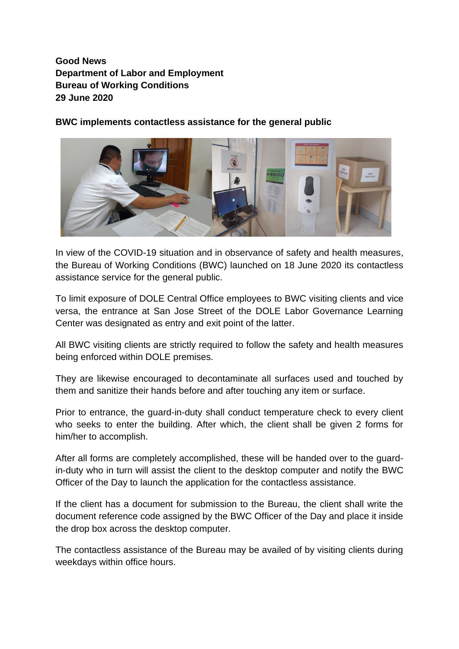**Good News Department of Labor and Employment Bureau of Working Conditions 29 June 2020**

**BWC implements contactless assistance for the general public**



In view of the COVID-19 situation and in observance of safety and health measures, the Bureau of Working Conditions (BWC) launched on 18 June 2020 its contactless assistance service for the general public.

To limit exposure of DOLE Central Office employees to BWC visiting clients and vice versa, the entrance at San Jose Street of the DOLE Labor Governance Learning Center was designated as entry and exit point of the latter.

All BWC visiting clients are strictly required to follow the safety and health measures being enforced within DOLE premises.

They are likewise encouraged to decontaminate all surfaces used and touched by them and sanitize their hands before and after touching any item or surface.

Prior to entrance, the guard-in-duty shall conduct temperature check to every client who seeks to enter the building. After which, the client shall be given 2 forms for him/her to accomplish.

After all forms are completely accomplished, these will be handed over to the guardin-duty who in turn will assist the client to the desktop computer and notify the BWC Officer of the Day to launch the application for the contactless assistance.

If the client has a document for submission to the Bureau, the client shall write the document reference code assigned by the BWC Officer of the Day and place it inside the drop box across the desktop computer.

The contactless assistance of the Bureau may be availed of by visiting clients during weekdays within office hours.